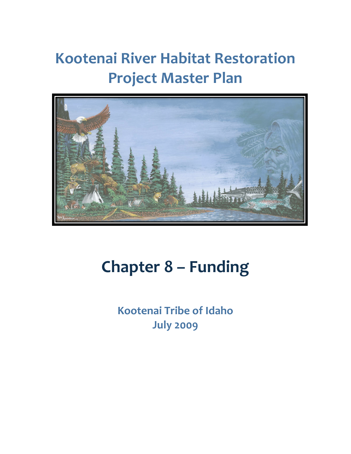# **Kootenai River Habitat Restoration Project Master Plan**



# **Chapter 8 – Funding**

**Kootenai Tribe of Idaho July 2009**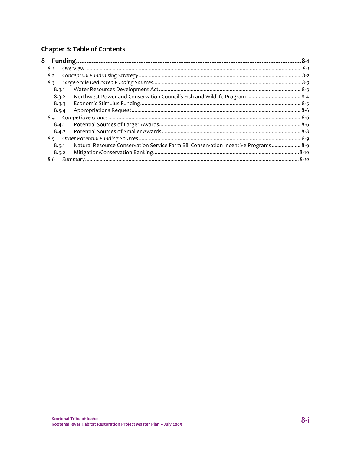### Chapter 8: Table of Contents

| 8                                                                                            |  |
|----------------------------------------------------------------------------------------------|--|
| 8.1                                                                                          |  |
| 8.2                                                                                          |  |
| 8.3                                                                                          |  |
| 8.3.1                                                                                        |  |
| 8.3.2                                                                                        |  |
| 8.3.3                                                                                        |  |
| 8.3.4                                                                                        |  |
|                                                                                              |  |
| 8.4.1                                                                                        |  |
| 8.4.2                                                                                        |  |
|                                                                                              |  |
| Natural Resource Conservation Service Farm Bill Conservation Incentive Programs 8-9<br>8.5.1 |  |
| 8.5.2                                                                                        |  |
| 8.6                                                                                          |  |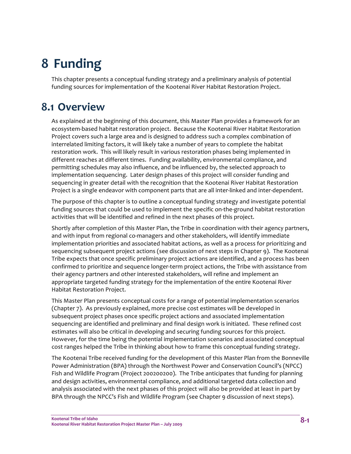## **8 Funding**

This chapter presents a conceptual funding strategy and a preliminary analysis of potential funding sources for implementation of the Kootenai River Habitat Restoration Project.

## **8.1 Overview**

As explained at the beginning of this document, this Master Plan provides a framework for an ecosystem‐based habitat restoration project. Because the Kootenai River Habitat Restoration Project covers such a large area and is designed to address such a complex combination of interrelated limiting factors, it will likely take a number of years to complete the habitat restoration work. This will likely result in various restoration phases being implemented in different reaches at different times. Funding availability, environmental compliance, and permitting schedules may also influence, and be influenced by, the selected approach to implementation sequencing. Later design phases of this project will consider funding and sequencing in greater detail with the recognition that the Kootenai River Habitat Restoration Project is a single endeavor with component parts that are all inter‐linked and inter‐dependent.

The purpose of this chapter is to outline a conceptual funding strategy and investigate potential funding sources that could be used to implement the specific on-the-ground habitat restoration activities that will be identified and refined in the next phases of this project.

Shortly after completion of this Master Plan, the Tribe in coordination with their agency partners, and with input from regional co-managers and other stakeholders, will identify immediate implementation priorities and associated habitat actions, as well as a process for prioritizing and sequencing subsequent project actions (see discussion of next steps in Chapter 9). The Kootenai Tribe expects that once specific preliminary project actions are identified, and a process has been confirmed to prioritize and sequence longer‐term project actions, the Tribe with assistance from their agency partners and other interested stakeholders, will refine and implement an appropriate targeted funding strategy for the implementation of the entire Kootenai River Habitat Restoration Project.

This Master Plan presents conceptual costs for a range of potential implementation scenarios (Chapter 7). As previously explained, more precise cost estimates will be developed in subsequent project phases once specific project actions and associated implementation sequencing are identified and preliminary and final design work is initiated. These refined cost estimates will also be critical in developing and securing funding sources for this project. However, for the time being the potential implementation scenarios and associated conceptual cost ranges helped the Tribe in thinking about how to frame this conceptual funding strategy.

The Kootenai Tribe received funding for the development of this Master Plan from the Bonneville Power Administration (BPA) through the Northwest Power and Conservation Council's (NPCC) Fish and Wildlife Program (Project 200200200). The Tribe anticipates that funding for planning and design activities, environmental compliance, and additional targeted data collection and analysis associated with the next phases of this project will also be provided at least in part by BPA through the NPCC's Fish and Wildlife Program (see Chapter 9 discussion of next steps).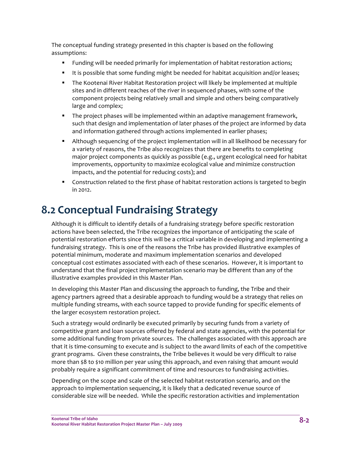The conceptual funding strategy presented in this chapter is based on the following assumptions:

- **Funding will be needed primarily for implementation of habitat restoration actions;**
- It is possible that some funding might be needed for habitat acquisition and/or leases;
- The Kootenai River Habitat Restoration project will likely be implemented at multiple sites and in different reaches of the river in sequenced phases, with some of the component projects being relatively small and simple and others being comparatively large and complex;
- **The project phases will be implemented within an adaptive management framework,** such that design and implementation of later phases of the project are informed by data and information gathered through actions implemented in earlier phases;
- Although sequencing of the project implementation will in all likelihood be necessary for a variety of reasons, the Tribe also recognizes that there are benefits to completing major project components as quickly as possible (e.g., urgent ecological need for habitat improvements, opportunity to maximize ecological value and minimize construction impacts, and the potential for reducing costs); and
- **Construction related to the first phase of habitat restoration actions is targeted to begin** in 2012.

## **8.2 Conceptual Fundraising Strategy**

Although it is difficult to identify details of a fundraising strategy before specific restoration actions have been selected, the Tribe recognizes the importance of anticipating the scale of potential restoration efforts since this will be a critical variable in developing and implementing a fundraising strategy. This is one of the reasons the Tribe has provided illustrative examples of potential minimum, moderate and maximum implementation scenarios and developed conceptual cost estimates associated with each of these scenarios. However, it is important to understand that the final project implementation scenario may be different than any of the illustrative examples provided in this Master Plan.

In developing this Master Plan and discussing the approach to funding, the Tribe and their agency partners agreed that a desirable approach to funding would be a strategy that relies on multiple funding streams, with each source tapped to provide funding for specific elements of the larger ecosystem restoration project.

Such a strategy would ordinarily be executed primarily by securing funds from a variety of competitive grant and loan sources offered by federal and state agencies, with the potential for some additional funding from private sources. The challenges associated with this approach are that it is time‐consuming to execute and is subject to the award limits of each of the competitive grant programs. Given these constraints, the Tribe believes it would be very difficult to raise more than \$8 to \$10 million per year using this approach, and even raising that amount would probably require a significant commitment of time and resources to fundraising activities.

Depending on the scope and scale of the selected habitat restoration scenario, and on the approach to implementation sequencing, it is likely that a dedicated revenue source of considerable size will be needed. While the specific restoration activities and implementation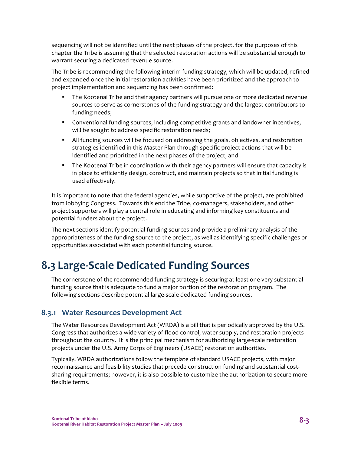sequencing will not be identified until the next phases of the project, for the purposes of this chapter the Tribe is assuming that the selected restoration actions will be substantial enough to warrant securing a dedicated revenue source.

The Tribe is recommending the following interim funding strategy, which will be updated, refined and expanded once the initial restoration activities have been prioritized and the approach to project implementation and sequencing has been confirmed:

- The Kootenai Tribe and their agency partners will pursue one or more dedicated revenue sources to serve as cornerstones of the funding strategy and the largest contributors to funding needs;
- Conventional funding sources, including competitive grants and landowner incentives, will be sought to address specific restoration needs;
- All funding sources will be focused on addressing the goals, objectives, and restoration strategies identified in this Master Plan through specific project actions that will be identified and prioritized in the next phases of the project; and
- **The Kootenai Tribe in coordination with their agency partners will ensure that capacity is** in place to efficiently design, construct, and maintain projects so that initial funding is used effectively.

It is important to note that the federal agencies, while supportive of the project, are prohibited from lobbying Congress. Towards this end the Tribe, co-managers, stakeholders, and other project supporters will play a central role in educating and informing key constituents and potential funders about the project.

The next sections identify potential funding sources and provide a preliminary analysis of the appropriateness of the funding source to the project, as well as identifying specific challenges or opportunities associated with each potential funding source.

## **8.3 Large‐Scale Dedicated Funding Sources**

The cornerstone of the recommended funding strategy is securing at least one very substantial funding source that is adequate to fund a major portion of the restoration program. The following sections describe potential large‐scale dedicated funding sources.

#### **8.3.1 Water Resources Development Act**

The Water Resources Development Act (WRDA) is a bill that is periodically approved by the U.S. Congress that authorizes a wide variety of flood control, water supply, and restoration projects throughout the country. It is the principal mechanism for authorizing large‐scale restoration projects under the U.S. Army Corps of Engineers (USACE) restoration authorities.

Typically, WRDA authorizations follow the template of standard USACE projects, with major reconnaissance and feasibility studies that precede construction funding and substantial cost‐ sharing requirements; however, it is also possible to customize the authorization to secure more flexible terms.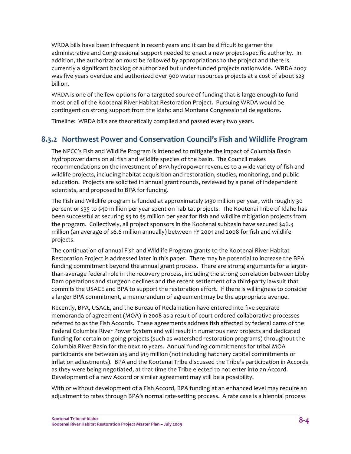WRDA bills have been infrequent in recent years and it can be difficult to garner the administrative and Congressional support needed to enact a new project-specific authority. In addition, the authorization must be followed by appropriations to the project and there is currently a significant backlog of authorized but under‐funded projects nationwide. WRDA 2007 was five years overdue and authorized over 900 water resources projects at a cost of about \$23 billion.

WRDA is one of the few options for a targeted source of funding that is large enough to fund most or all of the Kootenai River Habitat Restoration Project. Pursuing WRDA would be contingent on strong support from the Idaho and Montana Congressional delegations.

Timeline: WRDA bills are theoretically compiled and passed every two years.

#### **8.3.2 Northwest Power and Conservation Council's Fish and Wildlife Program**

The NPCC's Fish and Wildlife Program is intended to mitigate the impact of Columbia Basin hydropower dams on all fish and wildlife species of the basin. The Council makes recommendations on the investment of BPA hydropower revenues to a wide variety of fish and wildlife projects, including habitat acquisition and restoration, studies, monitoring, and public education. Projects are solicited in annual grant rounds, reviewed by a panel of independent scientists, and proposed to BPA for funding.

The Fish and Wildlife program is funded at approximately \$130 million per year, with roughly 30 percent or \$35 to \$40 million per year spent on habitat projects. The Kootenai Tribe of Idaho has been successful at securing \$3 to \$5 million per year for fish and wildlife mitigation projects from the program. Collectively, all project sponsors in the Kootenai subbasin have secured \$46.3 million (an average of \$6.6 million annually) between FY 2001 and 2008 for fish and wildlife projects.

The continuation of annual Fish and Wildlife Program grants to the Kootenai River Habitat Restoration Project is addressed later in this paper. There may be potential to increase the BPA funding commitment beyond the annual grant process. There are strong arguments for a larger‐ than‐average federal role in the recovery process, including the strong correlation between Libby Dam operations and sturgeon declines and the recent settlement of a third‐party lawsuit that commits the USACE and BPA to support the restoration effort. If there is willingness to consider a larger BPA commitment, a memorandum of agreement may be the appropriate avenue.

Recently, BPA, USACE, and the Bureau of Reclamation have entered into five separate memoranda of agreement (MOA) in 2008 as a result of court-ordered collaborative processes referred to as the Fish Accords. These agreements address fish affected by federal dams of the Federal Columbia River Power System and will result in numerous new projects and dedicated funding for certain on‐going projects (such as watershed restoration programs) throughout the Columbia River Basin for the next 10 years. Annual funding commitments for tribal MOA participants are between \$15 and \$19 million (not including hatchery capital commitments or inflation adjustments). BPA and the Kootenai Tribe discussed the Tribe's participation in Accords as they were being negotiated, at that time the Tribe elected to not enter into an Accord. Development of a new Accord or similar agreement may still be a possibility.

With or without development of a Fish Accord, BPA funding at an enhanced level may require an adjustment to rates through BPA's normal rate‐setting process. A rate case is a biennial process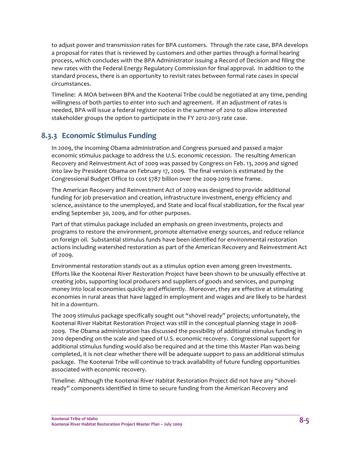to adjust power and transmission rates for BPA customers. Through the rate case, BPA develops a proposal for rates that is reviewed by customers and other parties through a formal hearing process, which concludes with the BPA Administrator issuing a Record of Decision and filing the new rates with the Federal Energy Regulatory Commission for final approval. In addition to the standard process, there is an opportunity to revisit rates between formal rate cases in special circumstances.

Timeline: A MOA between BPA and the Kootenai Tribe could be negotiated at any time, pending willingness of both parties to enter into such and agreement. If an adjustment of rates is needed, BPA will issue a federal register notice in the summer of 2010 to allow interested stakeholder groups the option to participate in the FY 2012‐2013 rate case.

#### **8.3.3 Economic Stimulus Funding**

In 2009, the incoming Obama administration and Congress pursued and passed a major economic stimulus package to address the U.S. economic recession. The resulting American Recovery and Reinvestment Act of 2009 was passed by Congress on Feb. 13, 2009 and signed into law by President Obama on February 17, 2009. The final version is estimated by the Congressional Budget Office to cost \$787 billion over the 2009‐2019 time frame.

The American Recovery and Reinvestment Act of 2009 was designed to provide additional funding for job preservation and creation, infrastructure investment, energy efficiency and science, assistance to the unemployed, and State and local fiscal stabilization, for the fiscal year ending September 30, 2009, and for other purposes.

Part of that stimulus package included an emphasis on green investments, projects and programs to restore the environment, promote alternative energy sources, and reduce reliance on foreign oil. Substantial stimulus funds have been identified for environmental restoration actions including watershed restoration as part of the American Recovery and Reinvestment Act of 2009.

Environmental restoration stands out as a stimulus option even among green investments. Efforts like the Kootenai River Restoration Project have been shown to be unusually effective at creating jobs, supporting local producers and suppliers of goods and services, and pumping money into local economies quickly and efficiently. Moreover, they are effective at stimulating economies in rural areas that have lagged in employment and wages and are likely to be hardest hit in a downturn.

The 2009 stimulus package specifically sought out "shovel ready" projects; unfortunately, the Kootenai River Habitat Restoration Project was still in the conceptual planning stage in 2008‐ 2009. The Obama administration has discussed the possibility of additional stimulus funding in 2010 depending on the scale and speed of U.S. economic recovery. Congressional support for additional stimulus funding would also be required and at the time this Master Plan was being completed, it is not clear whether there will be adequate support to pass an additional stimulus package. The Kootenai Tribe will continue to track availability of future funding opportunities associated with economic recovery.

Timeline: Although the Kootenai River Habitat Restoration Project did not have any "shovel‐ ready" components identified in time to secure funding from the American Recovery and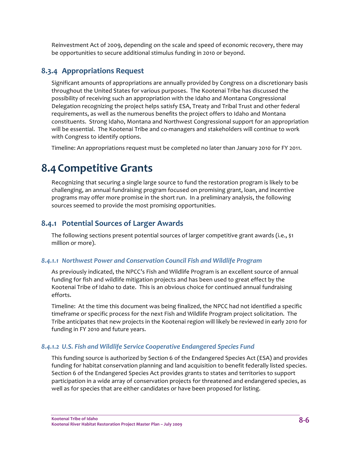Reinvestment Act of 2009, depending on the scale and speed of economic recovery, there may be opportunities to secure additional stimulus funding in 2010 or beyond.

#### **8.3.4 Appropriations Request**

Significant amounts of appropriations are annually provided by Congress on a discretionary basis throughout the United States for various purposes. The Kootenai Tribe has discussed the possibility of receiving such an appropriation with the Idaho and Montana Congressional Delegation recognizing the project helps satisfy ESA, Treaty and Tribal Trust and other federal requirements, as well as the numerous benefits the project offers to Idaho and Montana constituents. Strong Idaho, Montana and Northwest Congressional support for an appropriation will be essential. The Kootenai Tribe and co-managers and stakeholders will continue to work with Congress to identify options.

Timeline: An appropriations request must be completed no later than January 2010 for FY 2011.

## **8.4Competitive Grants**

Recognizing that securing a single large source to fund the restoration program is likely to be challenging, an annual fundraising program focused on promising grant, loan, and incentive programs may offer more promise in the short run. In a preliminary analysis, the following sources seemed to provide the most promising opportunities.

#### **8.4.1 Potential Sources of Larger Awards**

The following sections present potential sources of larger competitive grant awards (i.e., \$1 million or more).

#### *8.4.1.1 Northwest Power and Conservation Council Fish and Wildlife Program*

As previously indicated, the NPCC's Fish and Wildlife Program is an excellent source of annual funding for fish and wildlife mitigation projects and has been used to great effect by the Kootenai Tribe of Idaho to date. This is an obvious choice for continued annual fundraising efforts.

Timeline: At the time this document was being finalized, the NPCC had not identified a specific timeframe or specific process for the next Fish and Wildlife Program project solicitation. The Tribe anticipates that new projects in the Kootenai region will likely be reviewed in early 2010 for funding in FY 2010 and future years.

#### *8.4.1.2 U.S. Fish and Wildlife Service Cooperative Endangered Species Fund*

This funding source is authorized by Section 6 of the Endangered Species Act (ESA) and provides funding for habitat conservation planning and land acquisition to benefit federally listed species. Section 6 of the Endangered Species Act provides grants to states and territories to support participation in a wide array of conservation projects for threatened and endangered species, as well as for species that are either candidates or have been proposed for listing.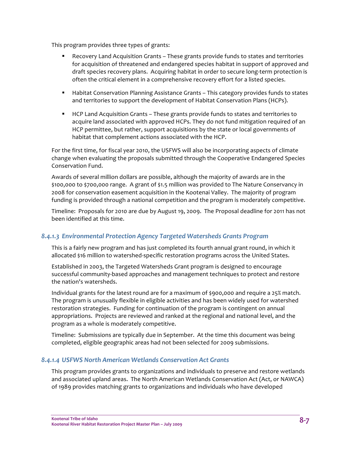This program provides three types of grants:

- Recovery Land Acquisition Grants These grants provide funds to states and territories for acquisition of threatened and endangered species habitat in support of approved and draft species recovery plans. Acquiring habitat in order to secure long‐term protection is often the critical element in a comprehensive recovery effort for a listed species.
- **Habitat Conservation Planning Assistance Grants This category provides funds to states** and territories to support the development of Habitat Conservation Plans (HCPs).
- HCP Land Acquisition Grants These grants provide funds to states and territories to acquire land associated with approved HCPs. They do not fund mitigation required of an HCP permittee, but rather, support acquisitions by the state or local governments of habitat that complement actions associated with the HCP.

For the first time, for fiscal year 2010, the USFWS will also be incorporating aspects of climate change when evaluating the proposals submitted through the Cooperative Endangered Species Conservation Fund.

Awards of several million dollars are possible, although the majority of awards are in the \$100,000 to \$700,000 range. A grant of \$1.5 million was provided to The Nature Conservancy in 2008 for conservation easement acquisition in the Kootenai Valley. The majority of program funding is provided through a national competition and the program is moderately competitive.

Timeline: Proposals for 2010 are due by August 19, 2009. The Proposal deadline for 2011 has not been identified at this time.

#### *8.4.1.3 Environmental Protection Agency Targeted Watersheds Grants Program*

This is a fairly new program and has just completed its fourth annual grant round, in which it allocated \$16 million to watershed‐specific restoration programs across the United States.

Established in 2003, the Targeted Watersheds Grant program is designed to encourage successful community‐based approaches and management techniques to protect and restore the nation's watersheds.

Individual grants for the latest round are for a maximum of \$900,000 and require a 25% match. The program is unusually flexible in eligible activities and has been widely used for watershed restoration strategies. Funding for continuation of the program is contingent on annual appropriations. Projects are reviewed and ranked at the regional and national level, and the program as a whole is moderately competitive.

Timeline: Submissions are typically due in September. At the time this document was being completed, eligible geographic areas had not been selected for 2009 submissions.

#### *8.4.1.4 USFWS North American Wetlands Conservation Act Grants*

This program provides grants to organizations and individuals to preserve and restore wetlands and associated upland areas. The North American Wetlands Conservation Act (Act, or NAWCA) of 1989 provides matching grants to organizations and individuals who have developed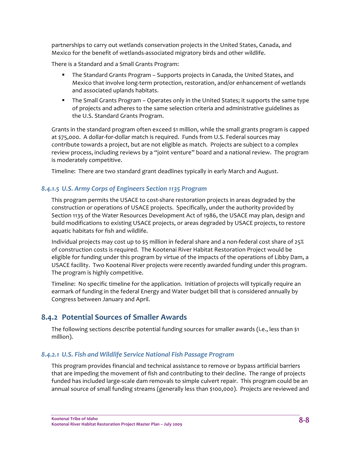partnerships to carry out wetlands conservation projects in the United States, Canada, and Mexico for the benefit of wetlands‐associated migratory birds and other wildlife.

There is a Standard and a Small Grants Program:

- The Standard Grants Program Supports projects in Canada, the United States, and Mexico that involve long‐term protection, restoration, and/or enhancement of wetlands and associated uplands habitats.
- The Small Grants Program Operates only in the United States; it supports the same type of projects and adheres to the same selection criteria and administrative guidelines as the U.S. Standard Grants Program.

Grants in the standard program often exceed \$1 million, while the small grants program is capped at \$75,000. A dollar-for-dollar match is required. Funds from U.S. Federal sources may contribute towards a project, but are not eligible as match. Projects are subject to a complex review process, including reviews by a "joint venture" board and a national review. The program is moderately competitive.

Timeline: There are two standard grant deadlines typically in early March and August.

#### *8.4.1.5 U.S. Army Corps of Engineers Section 1135 Program*

This program permits the USACE to cost‐share restoration projects in areas degraded by the construction or operations of USACE projects. Specifically, under the authority provided by Section 1135 of the Water Resources Development Act of 1986, the USACE may plan, design and build modifications to existing USACE projects, or areas degraded by USACE projects, to restore aquatic habitats for fish and wildlife.

Individual projects may cost up to \$5 million in federal share and a non‐federal cost share of 25% of construction costs is required. The Kootenai River Habitat Restoration Project would be eligible for funding under this program by virtue of the impacts of the operations of Libby Dam, a USACE facility. Two Kootenai River projects were recently awarded funding under this program. The program is highly competitive.

Timeline: No specific timeline for the application. Initiation of projects will typically require an earmark of funding in the federal Energy and Water budget bill that is considered annually by Congress between January and April.

#### **8.4.2 Potential Sources of Smaller Awards**

The following sections describe potential funding sources for smaller awards (i.e., less than \$1 million).

#### *8.4.2.1 U.S. Fish and Wildlife Service National Fish Passage Program*

This program provides financial and technical assistance to remove or bypass artificial barriers that are impeding the movement of fish and contributing to their decline. The range of projects funded has included large‐scale dam removals to simple culvert repair. This program could be an annual source of small funding streams (generally less than \$100,000). Projects are reviewed and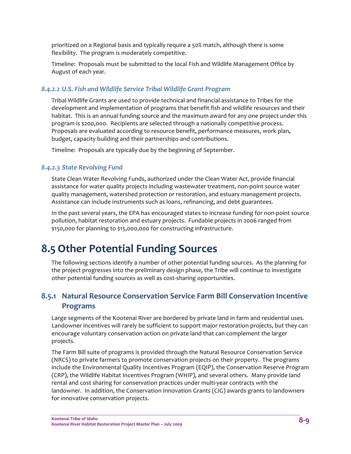prioritized on a Regional basis and typically require a 50% match, although there is some flexibility. The program is moderately competitive.

Timeline: Proposals must be submitted to the local Fish and Wildlife Management Office by August of each year.

#### *8.4.2.2 U.S. Fish and Wildlife Service Tribal Wildlife Grant Program*

Tribal Wildlife Grants are used to provide technical and financial assistance to Tribes for the development and implementation of programs that benefit fish and wildlife resources and their habitat. This is an annual funding source and the maximum award for any one project under this program is \$200,000. Recipients are selected through a nationally competitive process. Proposals are evaluated according to resource benefit, performance measures, work plan, budget, capacity building and their partnerships and contributions.

Timeline: Proposals are typically due by the beginning of September.

#### *8.4.2.3 State Revolving Fund*

State Clean Water Revolving Funds, authorized under the Clean Water Act, provide financial assistance for water quality projects including wastewater treatment, non‐point source water quality management, watershed protection or restoration, and estuary management projects. Assistance can include instruments such as loans, refinancing, and debt guarantees.

In the past several years, the EPA has encouraged states to increase funding for non‐point source pollution, habitat restoration and estuary projects. Fundable projects in 2006 ranged from \$150,000 for planning to \$15,000,000 for constructing infrastructure.

## **8.5 Other Potential Funding Sources**

The following sections identify a number of other potential funding sources. As the planning for the project progresses into the preliminary design phase, the Tribe will continue to investigate other potential funding sources as well as cost‐sharing opportunities.

#### **8.5.1 Natural Resource Conservation Service Farm Bill Conservation Incentive Programs**

Large segments of the Kootenai River are bordered by private land in farm and residential uses. Landowner incentives will rarely be sufficient to support major restoration projects, but they can encourage voluntary conservation action on private land that can complement the larger projects.

The Farm Bill suite of programs is provided through the Natural Resource Conservation Service (NRCS) to private farmers to promote conservation projects on their property. The programs include the Environmental Quality Incentives Program (EQIP), the Conservation Reserve Program (CRP), the Wildlife Habitat Incentives Program (WHIP), and several others. Many provide land rental and cost sharing for conservation practices under multi‐year contracts with the landowner. In addition, the Conservation Innovation Grants (CIG) awards grants to landowners for innovative conservation projects.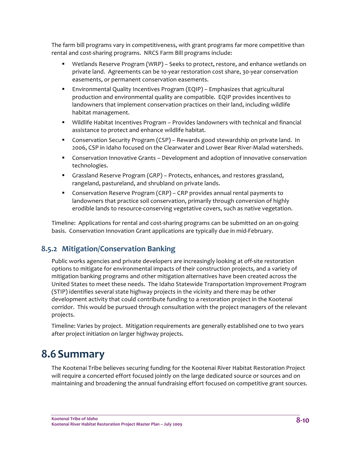The farm bill programs vary in competitiveness, with grant programs far more competitive than rental and cost‐sharing programs. NRCS Farm Bill programs include:

- Wetlands Reserve Program (WRP) Seeks to protect, restore, and enhance wetlands on private land. Agreements can be 10‐year restoration cost share, 30‐year conservation easements, or permanent conservation easements.
- Environmental Quality Incentives Program (EQIP) Emphasizes that agricultural production and environmental quality are compatible. EQIP provides incentives to landowners that implement conservation practices on their land, including wildlife habitat management.
- Wildlife Habitat Incentives Program Provides landowners with technical and financial assistance to protect and enhance wildlife habitat.
- **Conservation Security Program (CSP)** Rewards good stewardship on private land. In 2006, CSP in Idaho focused on the Clearwater and Lower Bear River‐Malad watersheds.
- **Conservation Innovative Grants Development and adoption of innovative conservation** technologies.
- Grassland Reserve Program (GRP) Protects, enhances, and restores grassland, rangeland, pastureland, and shrubland on private lands.
- Conservation Reserve Program (CRP) CRP provides annual rental payments to landowners that practice soil conservation, primarily through conversion of highly erodible lands to resource‐conserving vegetative covers, such as native vegetation.

Timeline: Applications for rental and cost‐sharing programs can be submitted on an on‐going basis. Conservation Innovation Grant applications are typically due in mid‐February.

#### **8.5.2 Mitigation/Conservation Banking**

Public works agencies and private developers are increasingly looking at off‐site restoration options to mitigate for environmental impacts of their construction projects, and a variety of mitigation banking programs and other mitigation alternatives have been created across the United States to meet these needs. The Idaho Statewide Transportation Improvement Program (STIP) identifies several state highway projects in the vicinity and there may be other development activity that could contribute funding to a restoration project in the Kootenai corridor. This would be pursued through consultation with the project managers of the relevant projects.

Timeline: Varies by project. Mitigation requirements are generally established one to two years after project initiation on larger highway projects.

## **8.6Summary**

The Kootenai Tribe believes securing funding for the Kootenai River Habitat Restoration Project will require a concerted effort focused jointly on the large dedicated source or sources and on maintaining and broadening the annual fundraising effort focused on competitive grant sources.